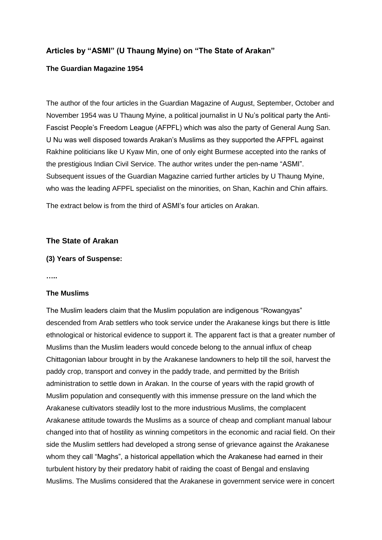# **Articles by "ASMI" (U Thaung Myine) on "The State of Arakan"**

## **The Guardian Magazine 1954**

The author of the four articles in the Guardian Magazine of August, September, October and November 1954 was U Thaung Myine, a political journalist in U Nu's political party the Anti-Fascist People's Freedom League (AFPFL) which was also the party of General Aung San. U Nu was well disposed towards Arakan's Muslims as they supported the AFPFL against Rakhine politicians like U Kyaw Min, one of only eight Burmese accepted into the ranks of the prestigious Indian Civil Service. The author writes under the pen-name "ASMI". Subsequent issues of the Guardian Magazine carried further articles by U Thaung Myine, who was the leading AFPFL specialist on the minorities, on Shan, Kachin and Chin affairs.

The extract below is from the third of ASMI's four articles on Arakan.

### **The State of Arakan**

#### **(3) Years of Suspense:**

**…..**

#### **The Muslims**

The Muslim leaders claim that the Muslim population are indigenous "Rowangyas" descended from Arab settlers who took service under the Arakanese kings but there is little ethnological or historical evidence to support it. The apparent fact is that a greater number of Muslims than the Muslim leaders would concede belong to the annual influx of cheap Chittagonian labour brought in by the Arakanese landowners to help till the soil, harvest the paddy crop, transport and convey in the paddy trade, and permitted by the British administration to settle down in Arakan. In the course of years with the rapid growth of Muslim population and consequently with this immense pressure on the land which the Arakanese cultivators steadily lost to the more industrious Muslims, the complacent Arakanese attitude towards the Muslims as a source of cheap and compliant manual labour changed into that of hostility as winning competitors in the economic and racial field. On their side the Muslim settlers had developed a strong sense of grievance against the Arakanese whom they call "Maghs", a historical appellation which the Arakanese had earned in their turbulent history by their predatory habit of raiding the coast of Bengal and enslaving Muslims. The Muslims considered that the Arakanese in government service were in concert